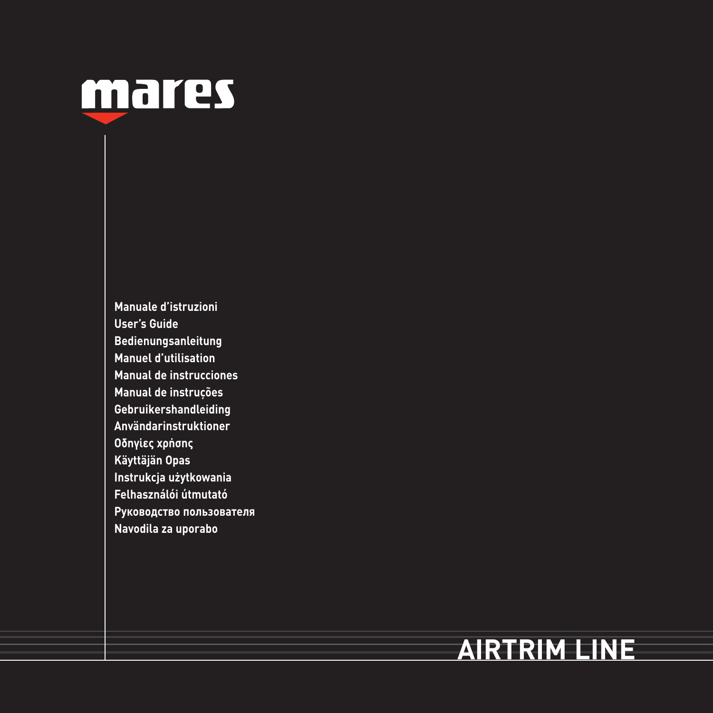

**Manuale d'istruzioni User's Guide Bedienungsanleitung Manuel d'utilisation Manual de instrucciones Manual de instruções Gebruikershandleiding Användarinstruktioner Οδηγίες χρήσης Käyttäjän Opas Instrukcja użytkowania Felhasználói útmutató Руководство пользователя Navodila za uporabo**

# **AIRTRIM LINE**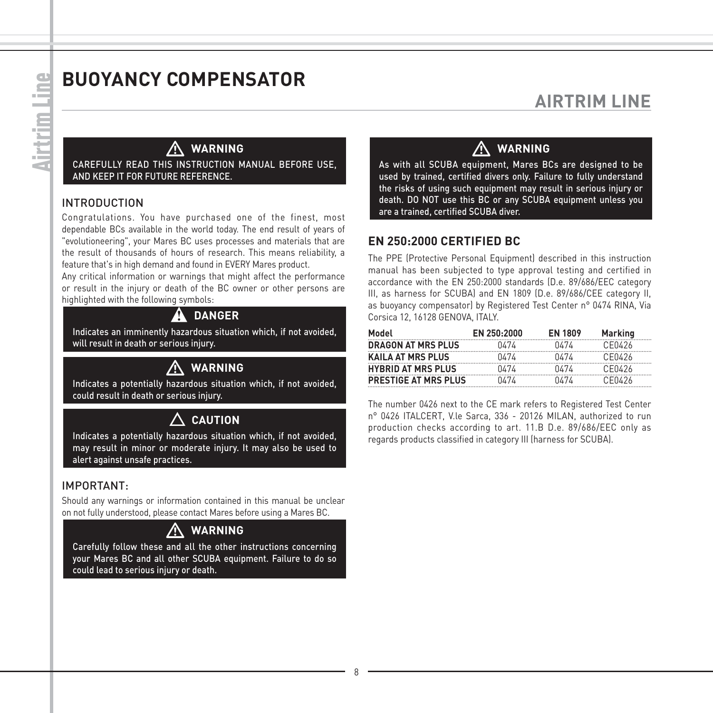# **BUOYANCY COMPENSATOR**

## **AIRTRIM LINE**

## - **WARNING**

CAREFULLY READ THIS INSTRUCTION MANUAL BEFORE USE AND KEEP IT FOR FUTURE REFERENCE.

#### INTRODUCTION

Congratulations. You have purchased one of the finest, most dependable BCs available in the world today. The end result of years of "evolutioneering", your Mares BC uses processes and materials that are the result of thousands of hours of research. This means reliability, a feature that's in high demand and found in EVERY Mares product.

Any critical information or warnings that might affect the performance or result in the injury or death of the BC owner or other persons are highlighted with the following symbols:

#### A DANGER

Indicates an imminently hazardous situation which, if not avoided, will result in death or serious injury.

### **WARNING**

 $\bigwedge_{\text{Indicates a potentially hazardous situation which, if not avoided,}$ could result in death or serious injury.

#### **CAUTION**

Indicates a potentially hazardous situation which, if not avoided, may result in minor or moderate injury. It may also be used to alert against unsafe practices.

#### IMPORTANT:

Should any warnings or information contained in this manual be unclear on not fully understood, please contact Mares before using a Mares BC.

#### **WARNING**

 $\bigwedge_{\text{Carefully follow these and all the other instructions concerning.}$ your Mares BC and all other SCUBA equipment. Failure to do so could lead to serious injury or death.

#### **WARNING**

 $\sum_{\text{As with all SCUBA equipment, Mares BCs are designed to be}$ used by trained, certified divers only. Failure to fully understand the risks of using such equipment may result in serious injury or death. DO NOT use this BC or any SCUBA equipment unless you are a trained, certified SCUBA diver.

#### **EN 250:2000 CERTIFIED BC**

The PPE (Protective Personal Equipment) described in this instruction manual has been subjected to type approval testing and certified in accordance with the EN 250:2000 standards (D.e. 89/686/EEC category III, as harness for SCUBA) and EN 1809 (D.e. 89/686/CEE category II, as buoyancy compensator) by Registered Test Center n° 0474 RINA, Via Corsica 12, 16128 GENOVA, ITALY.

| Model                       | <b>FN 250-2000</b> | <b>FN 1809</b> | Marking |
|-----------------------------|--------------------|----------------|---------|
| <b>DRAGON AT MRS PLUS</b>   | 0474               | 0474           | CE0426  |
| <b>KAILA AT MRS PLUS</b>    | 0474               | 0/7/           | CE0426  |
| <b>HYBRID AT MRS PLUS</b>   | 0474               | 0/7/           | CE0426  |
| <b>PRESTIGE AT MRS PLUS</b> | 0/7/               | 0/7/           | CE0426  |

The number 0426 next to the CE mark refers to Registered Test Center n° 0426 ITALCERT, V.le Sarca, 336 - 20126 MILAN, authorized to run production checks according to art. 11.B D.e. 89/686/EEC only as regards products classified in category III (harness for SCUBA).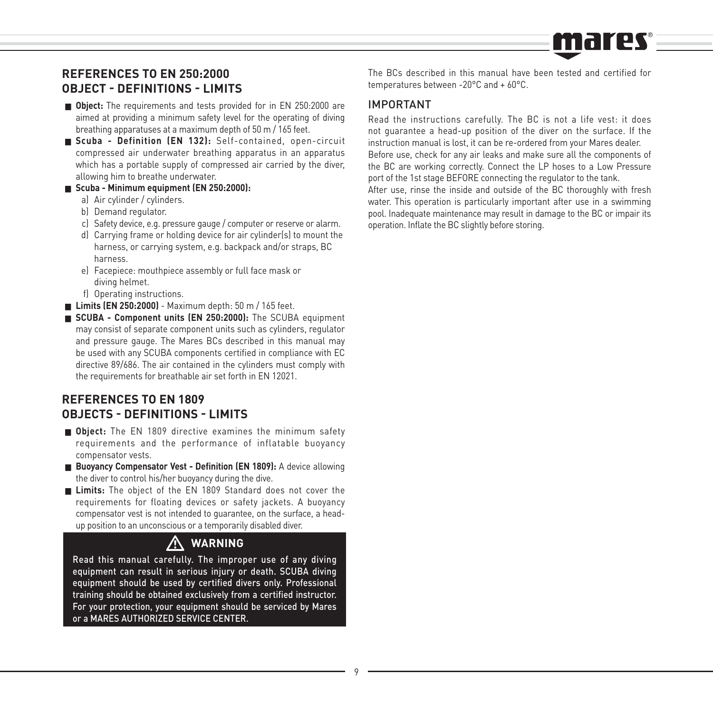# mares

#### **REFERENCES TO EN 250:2000 OBJECT - DEFINITIONS - LIMITS**

- **Diect:** The requirements and tests provided for in EN 250:2000 are aimed at providing a minimum safety level for the operating of diving breathing apparatuses at a maximum depth of 50 m / 165 feet.
- **Scuba Definition (EN 132):** Self-contained, open-circuit compressed air underwater breathing apparatus in an apparatus which has a portable supply of compressed air carried by the diver, allowing him to breathe underwater.
- **Scuba Minimum equipment (EN 250:2000):**
	- a) Air cylinder / cylinders.
	- b) Demand regulator.
	- c) Safety device, e.g. pressure gauge / computer or reserve or alarm.
	- d) Carrying frame or holding device for air cylinder(s) to mount the harness, or carrying system, e.g. backpack and/or straps, BC harness.
	- e) Facepiece: mouthpiece assembly or full face mask or diving helmet.
	- f) Operating instructions.
- **Limits (EN 250:2000)** Maximum depth: 50 m / 165 feet.
- **SCUBA Component units (EN 250:2000):** The SCUBA equipment may consist of separate component units such as cylinders, regulator and pressure gauge. The Mares BCs described in this manual may be used with any SCUBA components certified in compliance with EC directive 89/686. The air contained in the cylinders must comply with the requirements for breathable air set forth in EN 12021.

#### **REFERENCES TO EN 1809 OBJECTS - DEFINITIONS - LIMITS**

- **Object:** The EN 1809 directive examines the minimum safety requirements and the performance of inflatable buoyancy compensator vests.
- **Buoyancy Compensator Vest Definition (EN 1809):** A device allowing the diver to control his/her buoyancy during the dive.
- **Limits:** The object of the EN 1809 Standard does not cover the requirements for floating devices or safety jackets. A buoyancy compensator vest is not intended to guarantee, on the surface, a headup position to an unconscious or a temporarily disabled diver.

# - **WARNING**

Read this manual carefully. The improper use of any diving equipment can result in serious injury or death. SCUBA diving equipment should be used by certified divers only. Professional training should be obtained exclusively from a certified instructor. For your protection, your equipment should be serviced by Mares or a MARES AUTHORIZED SERVICE CENTER.

The BCs described in this manual have been tested and certified for temperatures between -20°C and + 60°C.

#### IMPORTANT

Read the instructions carefully. The BC is not a life vest: it does not guarantee a head-up position of the diver on the surface. If the instruction manual is lost, it can be re-ordered from your Mares dealer. Before use, check for any air leaks and make sure all the components of the BC are working correctly. Connect the LP hoses to a Low Pressure port of the 1st stage BEFORE connecting the regulator to the tank.

After use, rinse the inside and outside of the BC thoroughly with fresh water. This operation is particularly important after use in a swimming pool. Inadequate maintenance may result in damage to the BC or impair its operation. Inflate the BC slightly before storing.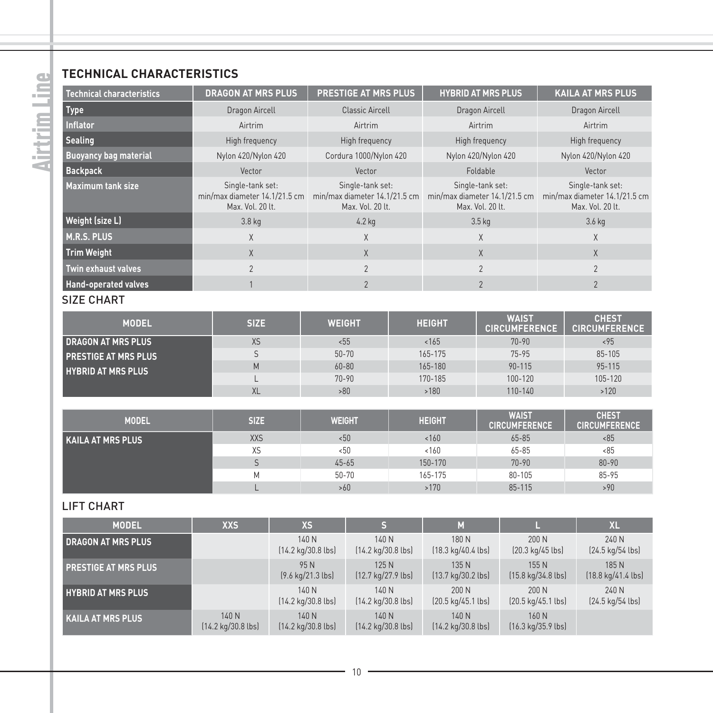#### **TECHNICAL CHARACTERISTICS**

| Technical characteristics    | <b>DRAGON AT MRS PLUS</b>                                             | PRESTIGE AT MRS PLUS                                                  |  | <b>HYBRID AT MRS PLUS</b>                                             |                                      | <b>KAILA AT MRS PLUS</b>                                              |                                      |  |
|------------------------------|-----------------------------------------------------------------------|-----------------------------------------------------------------------|--|-----------------------------------------------------------------------|--------------------------------------|-----------------------------------------------------------------------|--------------------------------------|--|
| <b>Type</b>                  | Dragon Aircell                                                        | Classic Aircell                                                       |  | Dragon Aircell                                                        |                                      | Dragon Aircell                                                        |                                      |  |
| <b>Inflator</b>              | Airtrim                                                               | Airtrim                                                               |  | Airtrim                                                               |                                      | Airtrim                                                               |                                      |  |
| Sealing                      | High frequency                                                        | High frequency                                                        |  |                                                                       | High frequency                       |                                                                       | High frequency                       |  |
| <b>Buoyancy bag material</b> | Nylon 420/Nylon 420                                                   | Cordura 1000/Nylon 420                                                |  | Nylon 420/Nylon 420                                                   |                                      | Nylon 420/Nylon 420                                                   |                                      |  |
| <b>Backpack</b>              | Vector                                                                | Vector                                                                |  | Foldable                                                              |                                      | Vector                                                                |                                      |  |
| Maximum tank size            | Single-tank set:<br>min/max diameter 14.1/21.5 cm<br>Max. Vol. 20 lt. | Single-tank set:<br>min/max diameter 14.1/21.5 cm<br>Max. Vol. 20 lt. |  | Single-tank set:<br>min/max diameter 14.1/21.5 cm<br>Max. Vol. 20 lt. |                                      | Single-tank set:<br>min/max diameter 14.1/21.5 cm<br>Max. Vol. 20 lt. |                                      |  |
| Weight (size L)              | 3.8 kg                                                                | 4.2 kg                                                                |  |                                                                       | 3.5 <sub>kq</sub>                    | 3.6 kg                                                                |                                      |  |
| <b>M.R.S. PLUS</b>           | X                                                                     | X                                                                     |  | X                                                                     |                                      | X                                                                     |                                      |  |
| <b>Trim Weight</b>           | X                                                                     | X                                                                     |  | X                                                                     |                                      | X                                                                     |                                      |  |
| <b>Twin exhaust valves</b>   | $\overline{2}$                                                        | $\mathfrak{p}$                                                        |  |                                                                       | $\mathfrak{p}$                       |                                                                       | $\mathfrak{p}$                       |  |
| <b>Hand-operated valves</b>  | $\mathbf{1}$                                                          | $\mathfrak{p}$                                                        |  | $\overline{2}$                                                        |                                      | $\overline{2}$                                                        |                                      |  |
| <b>SIZE CHART</b>            |                                                                       |                                                                       |  |                                                                       |                                      |                                                                       |                                      |  |
| <b>MODEL</b>                 | <b>SIZE</b>                                                           | <b>WEIGHT</b>                                                         |  | <b>HEIGHT</b>                                                         | <b>WAIST</b><br><b>CIRCUMFERENCE</b> |                                                                       | <b>CHEST</b><br><b>CIRCUMFERENCE</b> |  |
| <b>DRAGON AT MRS PLUS</b>    | <b>XS</b>                                                             | 555                                                                   |  | 165                                                                   | $70 - 90$                            |                                                                       | < 95                                 |  |
| <b>PRESTIGE AT MRS PLUS</b>  | S                                                                     | $50 - 70$                                                             |  | 165-175                                                               | $75 - 95$                            |                                                                       | 85-105                               |  |
| <b>HYBRID AT MRS PLUS</b>    | M                                                                     | $60 - 80$                                                             |  | 165-180                                                               | $90 - 115$                           |                                                                       | 95-115                               |  |
|                              | $\mathbf{I}$<br>XL                                                    | $70 - 90$<br>>80                                                      |  | 170-185<br>100-120<br>>180<br>110-140                                 |                                      |                                                                       | 105-120<br>>120                      |  |
|                              |                                                                       |                                                                       |  |                                                                       |                                      |                                                                       |                                      |  |
| <b>MODEL</b>                 | <b>SIZE</b>                                                           | <b>WEIGHT</b>                                                         |  | <b>HEIGHT</b>                                                         | <b>WAIST</b><br><b>CIRCUMFERENCE</b> |                                                                       | <b>CHEST</b><br><b>CIRCUMFERENCE</b> |  |
| <b>KAILA AT MRS PLUS</b>     | <b>XXS</b>                                                            | 50<                                                                   |  | 160<br>$65 - 85$                                                      |                                      | < 85                                                                  |                                      |  |
|                              | XS                                                                    | 50                                                                    |  | 160<br>65-85                                                          |                                      | < 85                                                                  |                                      |  |
|                              | S                                                                     | $45 - 65$                                                             |  | 150-170<br>$70 - 90$                                                  |                                      |                                                                       | $80 - 90$                            |  |
|                              | M<br>L                                                                | $50 - 70$                                                             |  | 165-175<br>80-105                                                     |                                      |                                                                       | $85 - 95$                            |  |
|                              |                                                                       | >60                                                                   |  | >170                                                                  | 85-115                               |                                                                       | >90                                  |  |
| <b>LIFT CHART</b>            |                                                                       |                                                                       |  |                                                                       |                                      |                                                                       |                                      |  |
| MODEL                        | vvc.                                                                  | ve.<br>c.                                                             |  | $\overline{M}$                                                        |                                      |                                                                       | V1                                   |  |

| <b>MODEL</b>                | <b>XXS</b>                                    | <b>XS</b>                                     |                                               | M                                             |                                               | <b>XL</b>                   |
|-----------------------------|-----------------------------------------------|-----------------------------------------------|-----------------------------------------------|-----------------------------------------------|-----------------------------------------------|-----------------------------|
| <b>DRAGON AT MRS PLUS</b>   |                                               | 140 N<br>$[14.2 \text{ kg}/30.8 \text{ lbs}]$ | 140 N<br>$[14.2 \text{ kg}/30.8 \text{ lbs}]$ | 180 N<br>$(18.3 \text{ kg}/40.4 \text{ lbs})$ | 200N<br>$[20.3 \text{ kg}/45 \text{ lbs}]$    | 240 N<br>[24.5 kg/54 lbs]   |
| <b>PRESTIGE AT MRS PLUS</b> |                                               | 95 N<br>$(9.6 \text{ kg}/21.3 \text{ lbs})$   | 125 N<br>$[12.7 \text{ kg}/27.9 \text{ lbs}]$ | 135 N<br>[13.7 kg/30.2 lbs]                   | 155 N<br>$[15.8 \text{ kg}/34.8 \text{ lbs}]$ | 185 N<br>[18.8 kg/41.4 lbs] |
| <b>HYBRID AT MRS PLUS</b>   |                                               | 140N<br>$[14.2 \text{ kg}/30.8 \text{ lbs}]$  | 140 N<br>$[14.2 \text{ kg}/30.8 \text{ lbs}]$ | 200 N<br>$[20.5 \text{ kg}/45.1 \text{ lbs}]$ | 200N<br>$[20.5 \text{ kg}/45.1 \text{ lbs}]$  | 240 N<br>[24.5 kg/54 lbs]   |
| <b>KAILA AT MRS PLUS</b>    | 140 N<br>$(14.2 \text{ kg}/30.8 \text{ lbs})$ | 140 N<br>$[14.2 \text{ kg}/30.8 \text{ lbs}]$ | 140 N<br>$[14.2 \text{ kg}/30.8 \text{ lbs}]$ | 140 N<br>$(14.2 \text{ kg}/30.8 \text{ lbs})$ | 160 N<br>$[16.3 \text{ kg}/35.9 \text{ lbs}]$ |                             |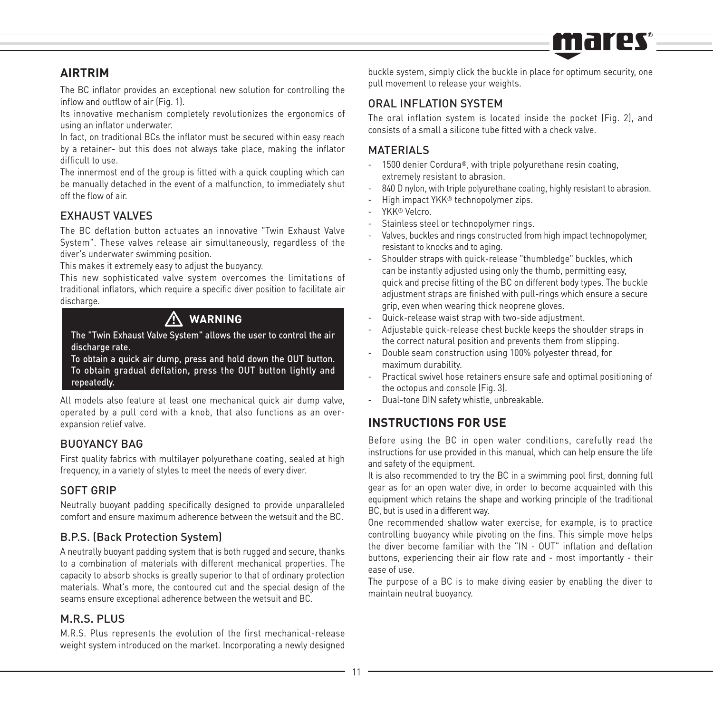

#### **AIRTRIM**

The BC inflator provides an exceptional new solution for controlling the inflow and outflow of air (Fig. 1).

Its innovative mechanism completely revolutionizes the ergonomics of using an inflator underwater.

In fact, on traditional BCs the inflator must be secured within easy reach by a retainer- but this does not always take place, making the inflator difficult to use.

The innermost end of the group is fitted with a quick coupling which can be manually detached in the event of a malfunction, to immediately shut off the flow of air.

#### EXHAUST VALVES

The BC deflation button actuates an innovative "Twin Exhaust Valve System". These valves release air simultaneously, regardless of the diver's underwater swimming position.

This makes it extremely easy to adjust the buoyancy.

This new sophisticated valve system overcomes the limitations of traditional inflators, which require a specific diver position to facilitate air discharge.

### **WARNING**

 $\bigwedge\limits_{\mathrm{The}}$  "Twin Exhaust Valve System" allows the user to control the air discharge rate.

To obtain a quick air dump, press and hold down the OUT button. To obtain gradual deflation, press the OUT button lightly and repeatedly.

All models also feature at least one mechanical quick air dump valve, operated by a pull cord with a knob, that also functions as an overexpansion relief valve.

#### BUOYANCY BAG

First quality fabrics with multilayer polyurethane coating, sealed at high frequency, in a variety of styles to meet the needs of every diver.

#### SOFT GRIP

Neutrally buoyant padding specifically designed to provide unparalleled comfort and ensure maximum adherence between the wetsuit and the BC.

#### B.P.S. (Back Protection System)

A neutrally buoyant padding system that is both rugged and secure, thanks to a combination of materials with different mechanical properties. The capacity to absorb shocks is greatly superior to that of ordinary protection materials. What's more, the contoured cut and the special design of the seams ensure exceptional adherence between the wetsuit and BC.

#### M.R.S. PLUS

M.R.S. Plus represents the evolution of the first mechanical-release weight system introduced on the market. Incorporating a newly designed

buckle system, simply click the buckle in place for optimum security, one pull movement to release your weights.

#### ORAL INFLATION SYSTEM

The oral inflation system is located inside the pocket (Fig. 2), and consists of a small a silicone tube fitted with a check valve.

#### **MATERIALS**

- 1500 denier Cordura®, with triple polyurethane resin coating, extremely resistant to abrasion.
- 840 D nylon, with triple polyurethane coating, highly resistant to abrasion.
- High impact YKK® technopolymer zips.
- YKK® Velcro.
- Stainless steel or technopolymer rings.
- Valves, buckles and rings constructed from high impact technopolymer, resistant to knocks and to aging.
- Shoulder straps with quick-release "thumbledge" buckles, which can be instantly adjusted using only the thumb, permitting easy, quick and precise fitting of the BC on different body types. The buckle adjustment straps are finished with pull-rings which ensure a secure grip, even when wearing thick neoprene gloves.
- Quick-release waist strap with two-side adjustment.
- Adjustable quick-release chest buckle keeps the shoulder straps in the correct natural position and prevents them from slipping.
- Double seam construction using 100% polyester thread, for maximum durability.
- Practical swivel hose retainers ensure safe and optimal positioning of the octopus and console (Fig. 3).
- Dual-tone DIN safety whistle, unbreakable.

#### **INSTRUCTIONS FOR USE**

Before using the BC in open water conditions, carefully read the instructions for use provided in this manual, which can help ensure the life and safety of the equipment.

It is also recommended to try the BC in a swimming pool first, donning full gear as for an open water dive, in order to become acquainted with this equipment which retains the shape and working principle of the traditional BC, but is used in a different way.

One recommended shallow water exercise, for example, is to practice controlling buoyancy while pivoting on the fins. This simple move helps the diver become familiar with the "IN - OUT" inflation and deflation buttons, experiencing their air flow rate and - most importantly - their ease of use.

The purpose of a BC is to make diving easier by enabling the diver to maintain neutral buoyancy.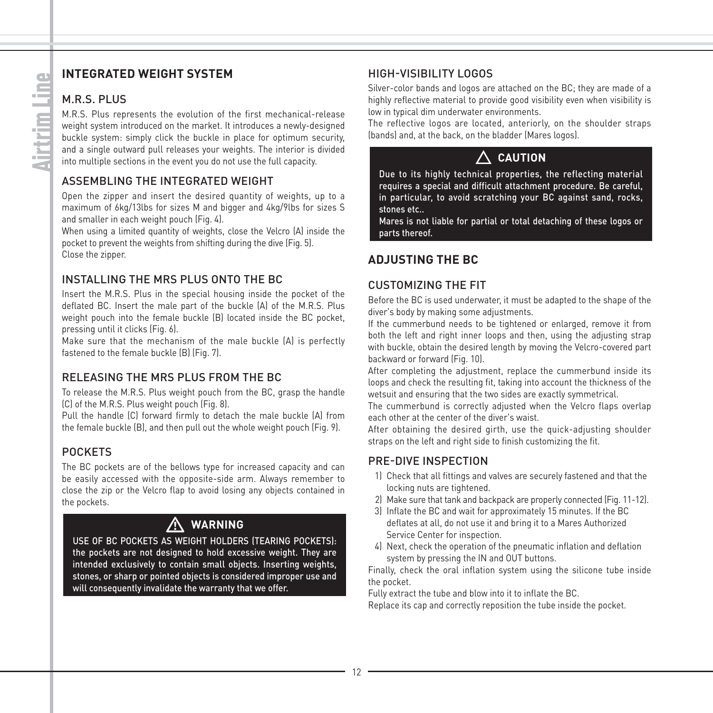#### **INTEGRATED WEIGHT SYSTEM**

#### M.R.S. PLUS

M.R.S. Plus represents the evolution of the first mechanical-release weight system introduced on the market. It introduces a newly-designed buckle system: simply click the buckle in place for optimum security, and a single outward pull releases your weights. The interior is divided into multiple sections in the event you do not use the full capacity.

#### ASSEMBLING THE INTEGRATED WEIGHT

Open the zipper and insert the desired quantity of weights, up to a maximum of 6kg/13lbs for sizes M and bigger and 4kg/9lbs for sizes S and smaller in each weight pouch (Fig. 4).

When using a limited quantity of weights, close the Velcro (A) inside the pocket to prevent the weights from shifting during the dive (Fig. 5). Close the zipper.

#### INSTALLING THE MRS PLUS ONTO THE BC

Insert the M.R.S. Plus in the special housing inside the pocket of the deflated BC. Insert the male part of the buckle (A) of the M.R.S. Plus weight pouch into the female buckle (B) located inside the BC pocket, pressing until it clicks (Fig. 6).

Make sure that the mechanism of the male buckle (A) is perfectly fastened to the female buckle (B) (Fig. 7).

#### RELEASING THE MRS PLUS FROM THE BC

To release the M.R.S. Plus weight pouch from the BC, grasp the handle (C) of the M.R.S. Plus weight pouch (Fig. 8).

Pull the handle (C) forward firmly to detach the male buckle (A) from the female buckle (B), and then pull out the whole weight pouch (Fig. 9).

#### POCKETS

The BC pockets are of the bellows type for increased capacity and can be easily accessed with the opposite-side arm. Always remember to close the zip or the Velcro flap to avoid losing any objects contained in the pockets.

# - **WARNING**

USE OF BC POCKETS AS WEIGHT HOLDERS (TEARING POCKETS): the pockets are not designed to hold excessive weight. They are intended exclusively to contain small objects. Inserting weights, stones, or sharp or pointed objects is considered improper use and will consequently invalidate the warranty that we offer.

#### HIGH-VISIBILITY LOGOS

Silver-color bands and logos are attached on the BC; they are made of a highly reflective material to provide good visibility even when visibility is low in typical dim underwater environments.

The reflective logos are located, anteriorly, on the shoulder straps (bands) and, at the back, on the bladder (Mares logos).

### **CAUTION**

Due to its highly technical properties, the reflecting material requires a special and difficult attachment procedure. Be careful, in particular, to avoid scratching your BC against sand, rocks, stones etc.

Mares is not liable for partial or total detaching of these logos or parts thereof.

#### **ADJUSTING THE BC**

#### CUSTOMIZING THE FIT

Before the BC is used underwater, it must be adapted to the shape of the diver's body by making some adjustments.

If the cummerbund needs to be tightened or enlarged, remove it from both the left and right inner loops and then, using the adjusting strap with buckle, obtain the desired length by moving the Velcro-covered part backward or forward (Fig. 10).

After completing the adjustment, replace the cummerbund inside its loops and check the resulting fit, taking into account the thickness of the wetsuit and ensuring that the two sides are exactly symmetrical.

The cummerbund is correctly adjusted when the Velcro flaps overlap each other at the center of the diver's waist.

After obtaining the desired girth, use the quick-adjusting shoulder straps on the left and right side to finish customizing the fit.

#### PRE-DIVE INSPECTION

- 1) Check that all fittings and valves are securely fastened and that the locking nuts are tightened.
- 2) Make sure that tank and backpack are properly connected (Fig. 11-12).
- 3) Inflate the BC and wait for approximately 15 minutes. If the BC deflates at all, do not use it and bring it to a Mares Authorized Service Center for inspection.
- 4) Next, check the operation of the pneumatic inflation and deflation system by pressing the IN and OUT buttons.

Finally, check the oral inflation system using the silicone tube inside the pocket.

Fully extract the tube and blow into it to inflate the BC.

Replace its cap and correctly reposition the tube inside the pocket.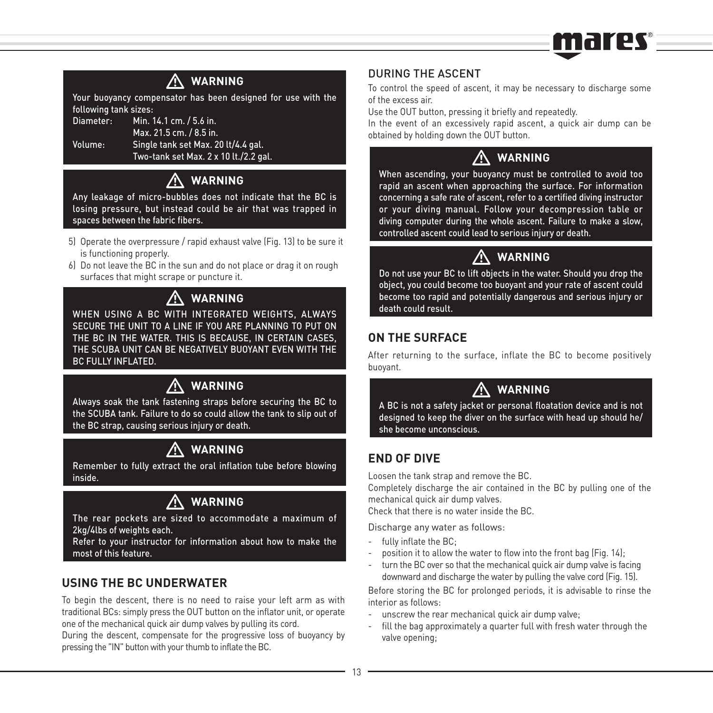# marec=

# - **WARNING**

Your buoyancy compensator has been designed for use with the following tank sizes:

Diameter: Min. 14.1 cm. / 5.6 in.

 Max. 21.5 cm. / 8.5 in. Volume: Single tank set Max. 20 lt/4.4 gal.

Two-tank set Max. 2 x 10 lt./2.2 gal.

# - **WARNING**

Any leakage of micro-bubbles does not indicate that the BC is losing pressure, but instead could be air that was trapped in spaces between the fabric fibers.

- 5) Operate the overpressure / rapid exhaust valve (Fig. 13) to be sure it is functioning properly.
- 6) Do not leave the BC in the sun and do not place or drag it on rough surfaces that might scrape or puncture it.

### **WARNING**

WARNING<br>WHEN USING A BC WITH INTEGRATED WEIGHTS, ALWAYS SECURE THE UNIT TO A LINE IF YOU ARE PLANNING TO PUT ON THE BC IN THE WATER. THIS IS BECAUSE, IN CERTAIN CASES, THE SCUBA UNIT CAN BE NEGATIVELY BUOYANT EVEN WITH THE BC FULLY INFLATED.

### **WARNING**

 $\bigwedge_{\text{Always soak the tank fastening straps before security the BC to }\bigwedge_{\text{ifolds}}\bigwedge_{\text{ifolds}}\bigwedge_{\text{ifolds}}\bigwedge_{\text{ifolds}}\bigwedge_{\text{ifolds}}\bigwedge_{\text{ifolds}}\bigwedge_{\text{ifolds}}\bigwedge_{\text{ifolds}}\bigwedge_{\text{ifolds}}\bigwedge_{\text{ifolds}}\bigwedge_{\text{ifolds}}\bigwedge_{\text{ifolds}}\bigwedge_{\text{ifolds}}\bigwedge_{\text{ifolds}}\bigwedge_{\text{ifolds}}\bigwedge_{\text{ifolds}}\bigwedge_{\text{ifolds}}\bigwedge_{\text{ifolds}}$ the SCUBA tank. Failure to do so could allow the tank to slip out of the BC strap, causing serious injury or death.

### **WARNING**

**A WARNING**<br>Remember to fully extract the oral inflation tube before blowing inside.

# - **WARNING**

The rear pockets are sized to accommodate a maximum of 2kg/4lbs of weights each.

Refer to your instructor for information about how to make the most of this feature.

#### **USING THE BC UNDERWATER**

To begin the descent, there is no need to raise your left arm as with traditional BCs: simply press the OUT button on the inflator unit, or operate one of the mechanical quick air dump valves by pulling its cord.

During the descent, compensate for the progressive loss of buoyancy by pressing the "IN" button with your thumb to inflate the BC.

#### DURING THE ASCENT

To control the speed of ascent, it may be necessary to discharge some of the excess air.

Use the OUT button, pressing it briefly and repeatedly.

In the event of an excessively rapid ascent, a quick air dump can be obtained by holding down the OUT button.

### **WARNING**

 $\bigwedge_{\text{When ascending, your buoyancy must be controlled to avoid too}}$ rapid an ascent when approaching the surface. For information concerning a safe rate of ascent, refer to a certified diving instructor or your diving manual. Follow your decompression table or diving computer during the whole ascent. Failure to make a slow, controlled ascent could lead to serious injury or death.

# - **WARNING**

Do not use your BC to lift objects in the water. Should you drop the object, you could become too buoyant and your rate of ascent could become too rapid and potentially dangerous and serious injury or death could result.

#### **ON THE SURFACE**

After returning to the surface, inflate the BC to become positively buoyant.

# - **WARNING**

A BC is not a safety jacket or personal floatation device and is not designed to keep the diver on the surface with head up should he/ she become unconscious.

#### **END OF DIVE**

Loosen the tank strap and remove the BC.

Completely discharge the air contained in the BC by pulling one of the mechanical quick air dump valves.

Check that there is no water inside the BC.

Discharge any water as follows:

- fully inflate the BC;
- position it to allow the water to flow into the front bag (Fig. 14):
- turn the BC over so that the mechanical quick air dump valve is facing downward and discharge the water by pulling the valve cord (Fig. 15).

Before storing the BC for prolonged periods, it is advisable to rinse the interior as follows:

- unscrew the rear mechanical quick air dump valve;
- fill the bag approximately a quarter full with fresh water through the valve opening;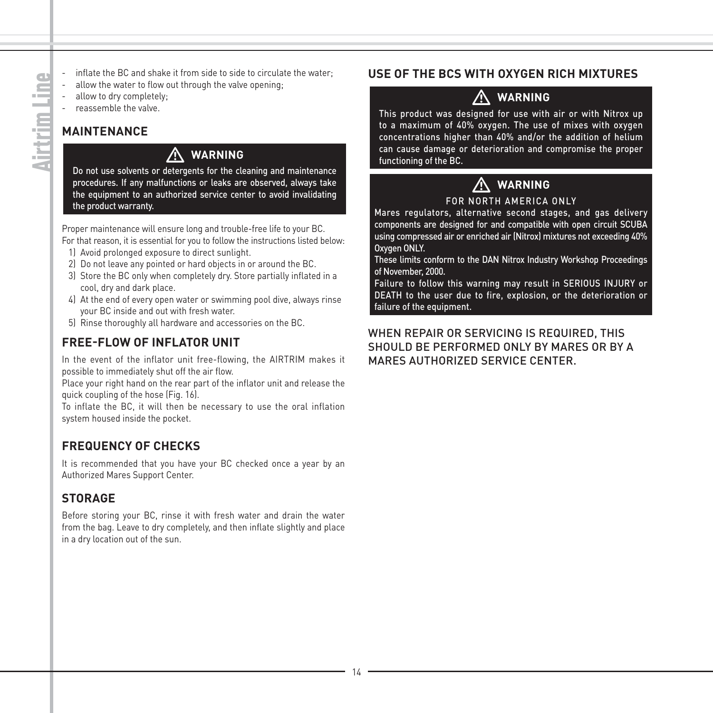- inflate the BC and shake it from side to side to circulate the water;
- allow the water to flow out through the valve opening:
- allow to dry completely;
- reassemble the valve.

### **MAINTENANCE**

#### **WARNING**

 $\sum_{\text{Do not use solvents or detergents for the cleaning and maintenance}$ procedures. If any malfunctions or leaks are observed, always take the equipment to an authorized service center to avoid invalidating the product warranty.

Proper maintenance will ensure long and trouble-free life to your BC.

For that reason, it is essential for you to follow the instructions listed below:

- 1) Avoid prolonged exposure to direct sunlight.
- 2) Do not leave any pointed or hard objects in or around the BC.
- 3) Store the BC only when completely dry. Store partially inflated in a cool, dry and dark place.
- 4) At the end of every open water or swimming pool dive, always rinse your BC inside and out with fresh water.
- 5) Rinse thoroughly all hardware and accessories on the BC.

#### **FREE-FLOW OF INFLATOR UNIT**

In the event of the inflator unit free-flowing, the AIRTRIM makes it possible to immediately shut off the air flow.

Place your right hand on the rear part of the inflator unit and release the quick coupling of the hose (Fig. 16).

To inflate the BC, it will then be necessary to use the oral inflation system housed inside the pocket.

#### **FREQUENCY OF CHECKS**

It is recommended that you have your BC checked once a year by an Authorized Mares Support Center.

#### **STORAGE**

Before storing your BC, rinse it with fresh water and drain the water from the bag. Leave to dry completely, and then inflate slightly and place in a dry location out of the sun.

#### **USE OF THE BCS WITH OXYGEN RICH MIXTURES**

# - **WARNING**

This product was designed for use with air or with Nitrox up to a maximum of 40% oxygen. The use of mixes with oxygen concentrations higher than 40% and/or the addition of helium can cause damage or deterioration and compromise the proper functioning of the BC.

### **WARNING**

# **A** WARNING<br>FOR NORTH AMERICA ONLY

Mares regulators, alternative second stages, and gas delivery components are designed for and compatible with open circuit SCUBA using compressed air or enriched air (Nitrox) mixtures not exceeding 40% Oxygen ONLY.

These limits conform to the DAN Nitrox Industry Workshop Proceedings of November, 2000.

Failure to follow this warning may result in SERIOUS INJURY or DEATH to the user due to fire, explosion, or the deterioration or failure of the equipment.

WHEN REPAIR OR SERVICING IS REQUIRED, THIS SHOULD BE PERFORMED ONLY BY MARES OR BY A MARES AUTHORIZED SERVICE CENTER.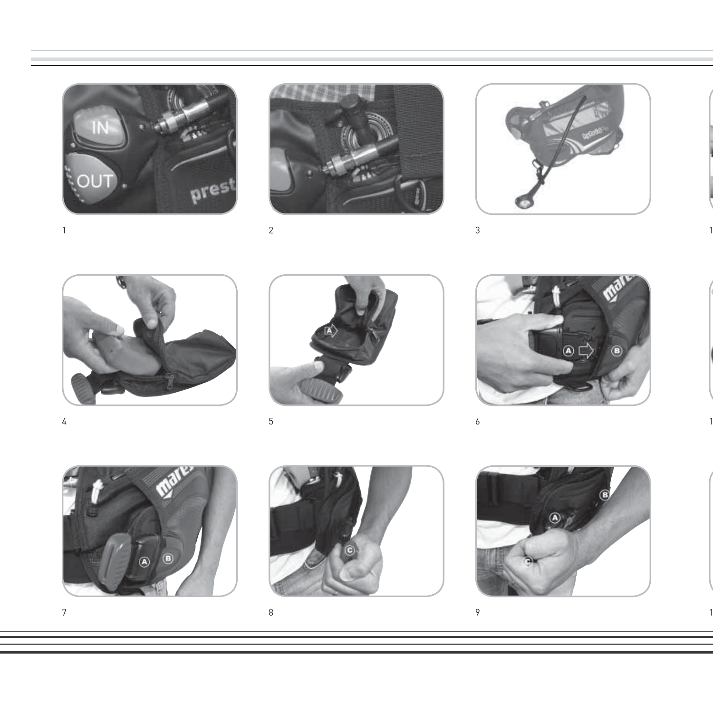



1 and  $\frac{2}{3}$  3



3





4  $\frac{5}{2}$  6



O

 $7$  8 9

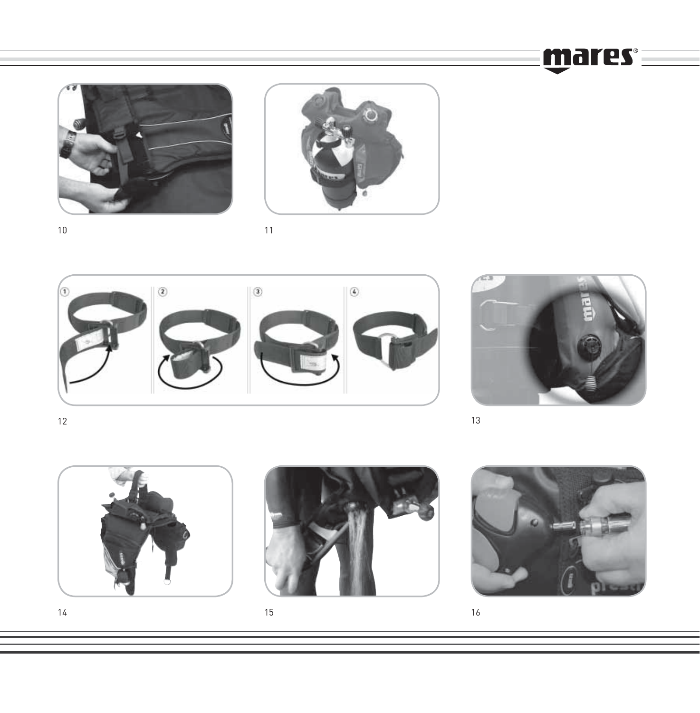mares =





11





and  $13$